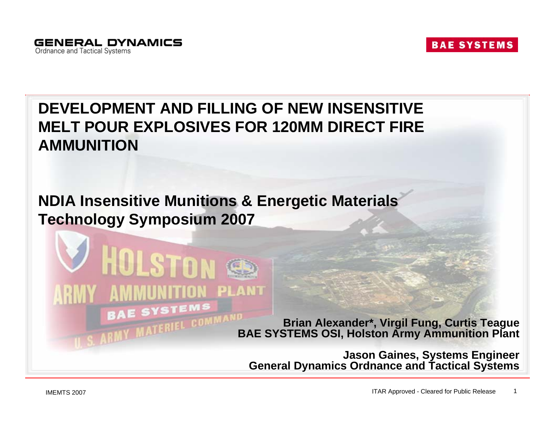#### **DEVELOPMENT AND FILLING OF NEW INSENSITIVE MELT POUR EXPLOSIVES FOR 120MM DIRECT FIRE AMMUNITION**

#### **NDIA Insensitive Munitions & Energetic Materials Technology Symposium 2007**



**Brian Alexander\*, Virgil Fung, Curtis Teague BAE SYSTEMS OSI, Holston Army Ammunition Plant**

**Jason Gaines, Systems Engineer General Dynamics Ordnance and Tactical Systems**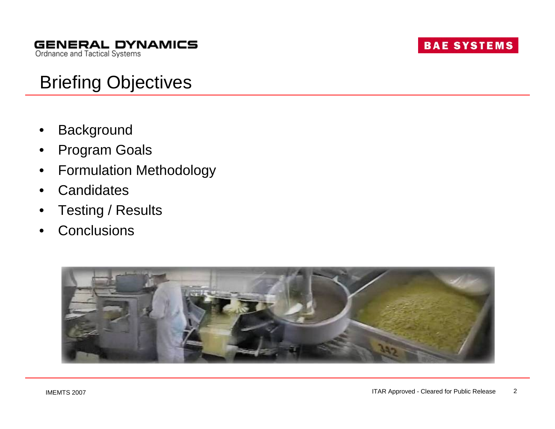# Briefing Objectives

- **Background**
- Program Goals
- Formulation Methodology
- **Candidates**
- Testing / Results
- **Conclusions**

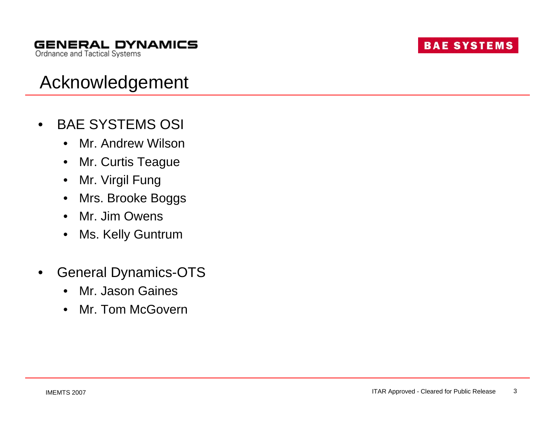# Acknowledgement

- BAE SYSTEMS OSI
	- Mr. Andrew Wilson
	- Mr. Curtis Teague
	- Mr. Virgil Fung
	- Mrs. Brooke Boggs
	- Mr. Jim Owens
	- Ms. Kelly Guntrum
- General Dynamics-OTS
	- Mr. Jason Gaines
	- Mr. Tom McGovern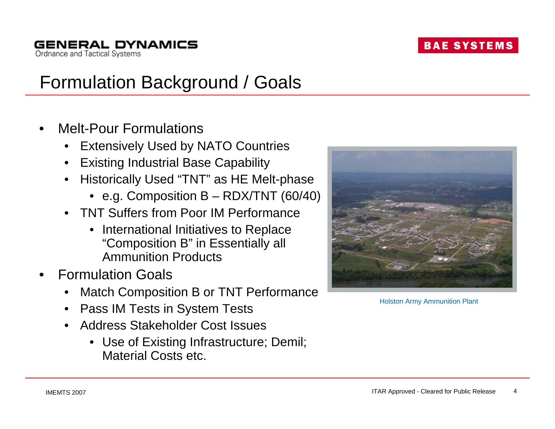# Formulation Background / Goals

• Melt-Pour Formulations

**GENERAL DYNAMICS** 

Ordnance and Tactical Systems

- **Extensively Used by NATO Countries**
- Existing Industrial Base Capability
- Historically Used "TNT" as HE Melt-phase
	- e.g. Composition B RDX/TNT (60/40)
- TNT Suffers from Poor IM Performance
	- International Initiatives to Replace "Composition B" in Essentially all Ammunition Products
- Formulation Goals
	- Match Composition B or TNT Performance
	- Pass IM Tests in System Tests
	- Address Stakeholder Cost Issues
		- Use of Existing Infrastructure; Demil; Material Costs etc.



Holston Army Ammunition Plant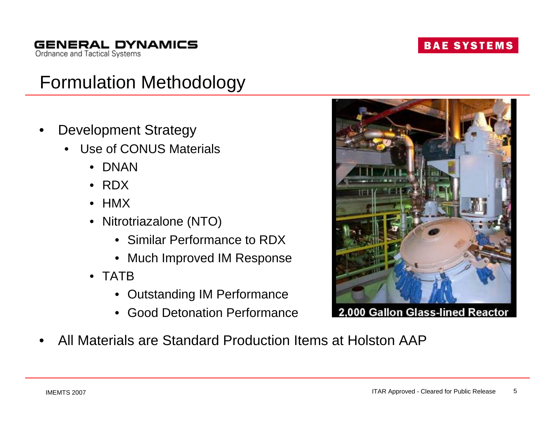# Formulation Methodology

- Development Strategy
	- Use of CONUS Materials
		- DNAN
		- RDX
		- HMX
		- Nitrotriazalone (NTO)
			- Similar Performance to RDX
			- Much Improved IM Response
		- TATB
			- Outstanding IM Performance
			- Good Detonation Performance



2.000 Gallon Glass-lined Reactor

• All Materials are Standard Production Items at Holston AAP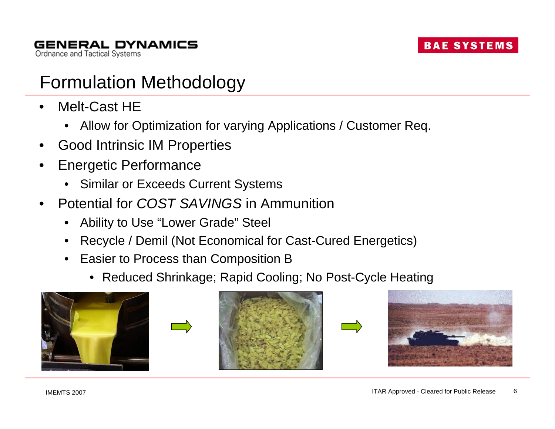### Formulation Methodology

- Melt-Cast HE
	- Allow for Optimization for varying Applications / Customer Req.
- Good Intrinsic IM Properties
- Energetic Performance
	- Similar or Exceeds Current Systems
- Potential for *COST SAVINGS* in Ammunition
	- Ability to Use "Lower Grade" Steel
	- Recycle / Demil (Not Economical for Cast-Cured Energetics)
	- Easier to Process than Composition B
		- Reduced Shrinkage; Rapid Cooling; No Post-Cycle Heating









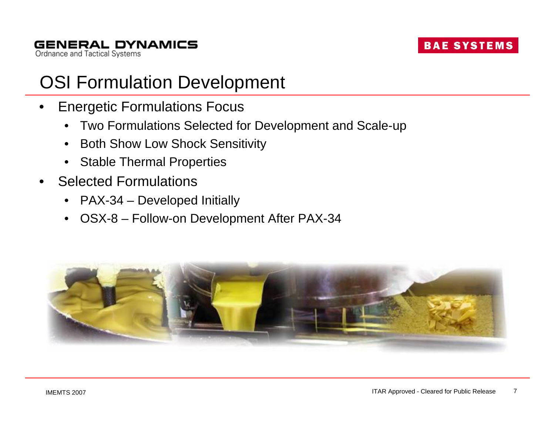### OSI Formulation Development

- Energetic Formulations Focus
	- Two Formulations Selected for Development and Scale-up
	- Both Show Low Shock Sensitivity
	- Stable Thermal Properties
- Selected Formulations
	- PAX-34 Developed Initially
	- OSX-8 Follow-on Development After PAX-34

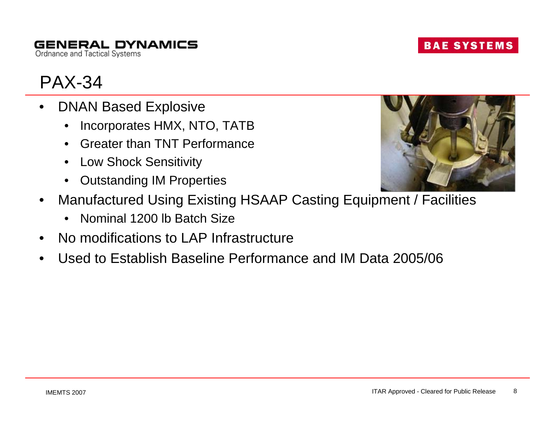#### **GENERAL DYNAMICS** Ordnance and Tactical Systems

### PAX-34

- DNAN Based Explosive
	- Incorporates HMX, NTO, TATB
	- Greater than TNT Performance
	- Low Shock Sensitivity
	- Outstanding IM Properties
- Manufactured Using Existing HSAAP Casting Equipment / Facilities
	- Nominal 1200 lb Batch Size
- No modifications to LAP Infrastructure
- Used to Establish Baseline Performance and IM Data 2005/06



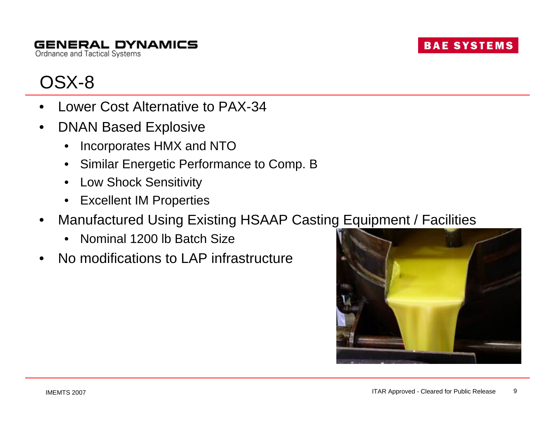

### OSX-8

- Lower Cost Alternative to PAX-34
- DNAN Based Explosive
	- Incorporates HMX and NTO
	- Similar Energetic Performance to Comp. B
	- Low Shock Sensitivity
	- Excellent IM Properties
- Manufactured Using Existing HSAAP Casting Equipment / Facilities
	- Nominal 1200 lb Batch Size
- No modifications to LAP infrastructure



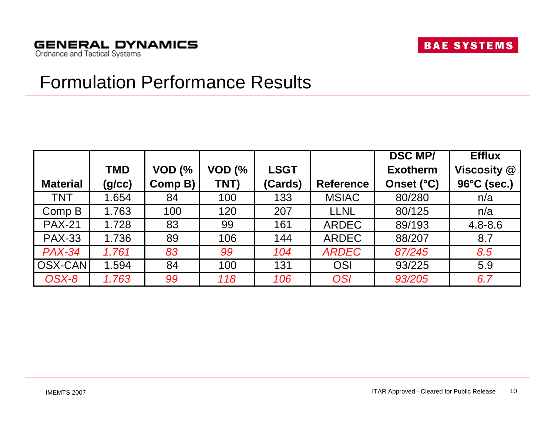#### Formulation Performance Results

|                 |            |          |          |             |                  | <b>DSC MP/</b>  | <b>Efflux</b> |
|-----------------|------------|----------|----------|-------------|------------------|-----------------|---------------|
|                 | <b>TMD</b> | $VOD$ (% | $VOD$ (% | <b>LSGT</b> |                  | <b>Exotherm</b> | Viscosity @   |
| <b>Material</b> | (g/cc)     | Comp B)  | TNT)     | (Cards)     | <b>Reference</b> | Onset (°C)      | 96°C (sec.)   |
| <b>TNT</b>      | 1.654      | 84       | 100      | 133         | <b>MSIAC</b>     | 80/280          | n/a           |
| Comp B          | 1.763      | 100      | 120      | 207         | <b>LLNL</b>      | 80/125          | n/a           |
| <b>PAX-21</b>   | 1.728      | 83       | 99       | 161         | <b>ARDEC</b>     | 89/193          | $4.8 - 8.6$   |
| <b>PAX-33</b>   | 1.736      | 89       | 106      | 144         | <b>ARDEC</b>     | 88/207          | 8.7           |
| <b>PAX-34</b>   | 1.761      | 83       | 99       | 104         | <b>ARDEC</b>     | 87/245          | 8.5           |
| OSX-CAN         | 1.594      | 84       | 100      | 131         | OSI              | 93/225          | 5.9           |
| OSX-8           | 1.763      | 99       | 118      | 106         | <b>OSI</b>       | 93/205          | 6.7           |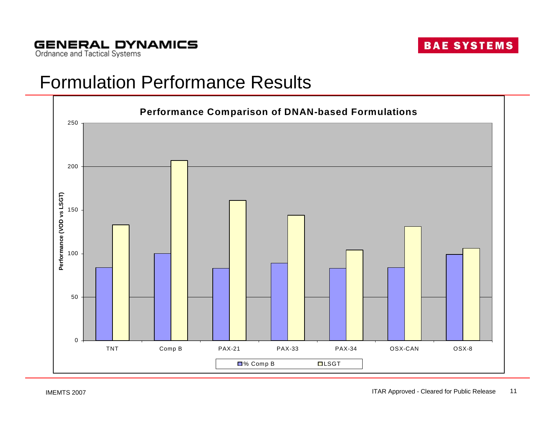#### Formulation Performance Results

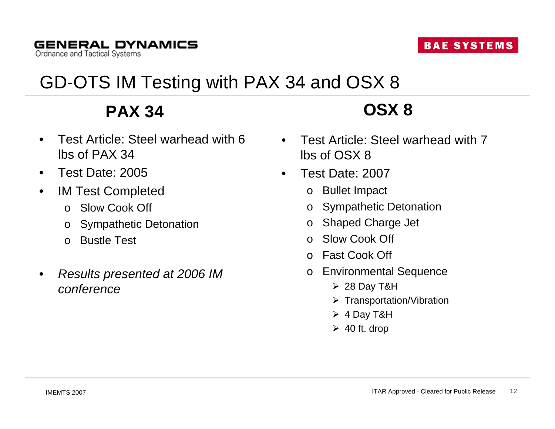# GD-OTS IM Testing with PAX 34 and OSX 8

**PAX 34**

- Test Article: Steel warhead with 6 lbs of PAX 34
- Test Date: 2005
- **IM Test Completed** 
	- o Slow Cook Off
	- o Sympathetic Detonation
	- o Bustle Test
- *Results presented at 2006 IM conference*

# **OSX 8**

- Test Article: Steel warhead with 7 lbs of OSX 8
- Test Date: 2007
	- o Bullet Impact
	- o Sympathetic Detonation
	- o Shaped Charge Jet
	- o Slow Cook Off
	- o Fast Cook Off
	- o Environmental Sequence
		- ¾ 28 Day T&H
		- ¾ Transportation/Vibration
		- ¾ 4 Day T&H
		- $\geq 40$  ft. drop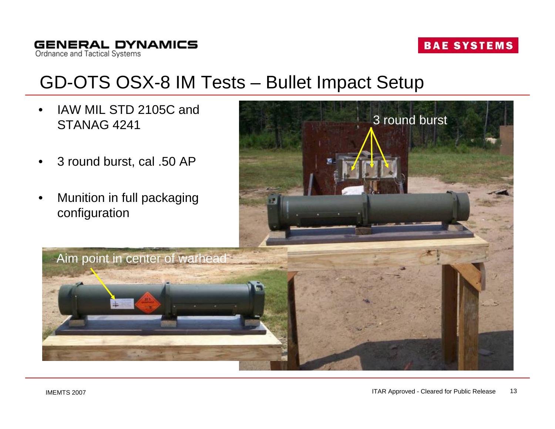### GD-OTS OSX-8 IM Tests – Bullet Impact Setup

- IAW MIL STD 2105C and STANAG 4241
- 3 round burst, cal .50 AP
- Munition in full packaging configuration

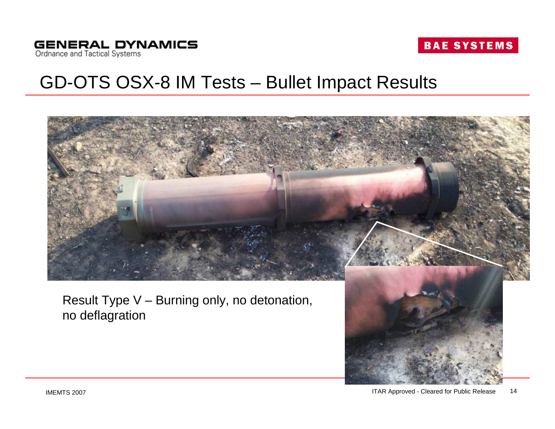### GD-OTS OSX-8 IM Tests – Bullet Impact Results



Result Type V – Burning only, no detonation, no deflagration

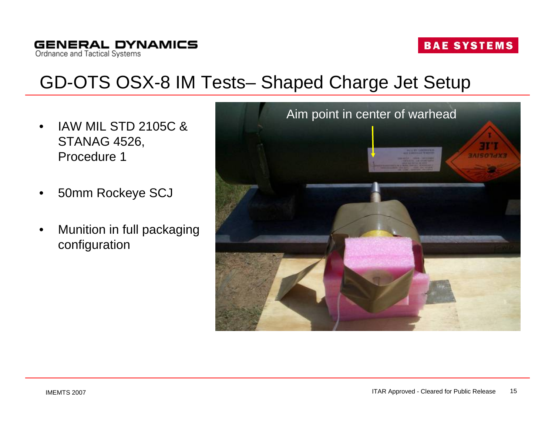#### **GENERAL DYNAMICS** Ordnance and Tactical Systems

#### **BAE SYSTEMS**

# GD-OTS OSX-8 IM Tests– Shaped Charge Jet Setup

- IAW MIL STD 2105C & STANAG 4526, Procedure 1
- 50mm Rockeye SCJ
- Munition in full packaging configuration

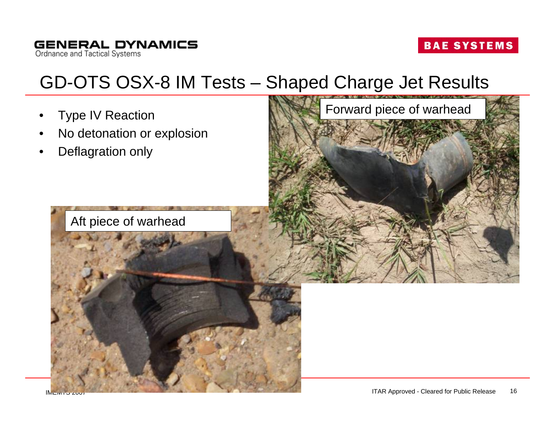# GD-OTS OSX-8 IM Tests – Shaped Charge Jet Results

- **Type IV Reaction**
- No detonation or explosion
- Deflagration only



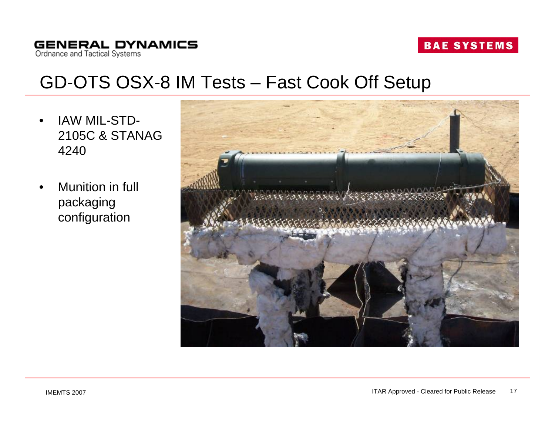**GENERAL DYNAMICS** Ordnance and Tactical Systems

#### **BAE SYSTEMS**

#### GD-OTS OSX-8 IM Tests – Fast Cook Off Setup

- IAW MIL-STD-2105C & STANAG 4240
- Munition in full packaging configuration

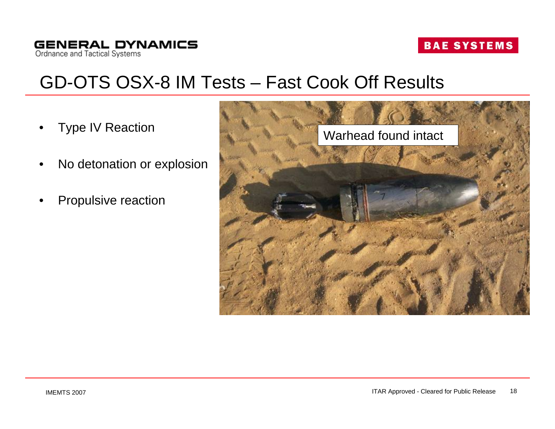### GD-OTS OSX-8 IM Tests – Fast Cook Off Results

- **Type IV Reaction**
- No detonation or explosion
- Propulsive reaction

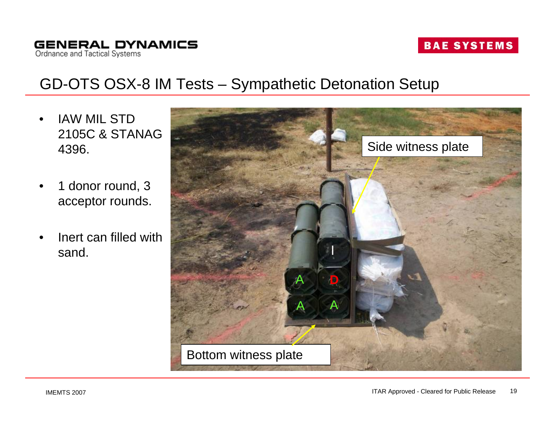**GENERAL DYNAMICS** Ordnance and Tactical Systems

**BAE SYSTEMS** 

#### GD-OTS OSX-8 IM Tests – Sympathetic Detonation Setup

- IAW MIL STD 2105C & STANAG 4396.
- 1 donor round, 3 acceptor rounds.
- Inert can filled with sand.

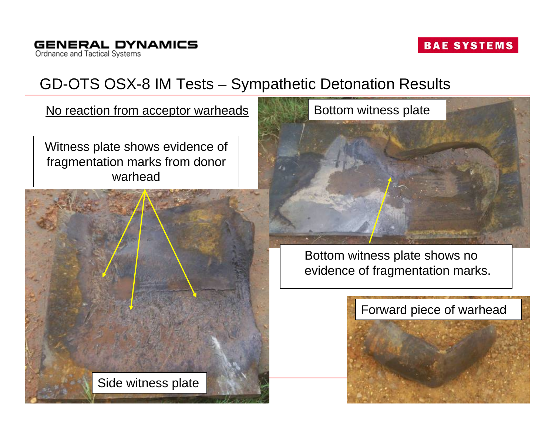#### GD-OTS OSX-8 IM Tests – Sympathetic Detonation Results

No reaction from acceptor warheads

Witness plate shows evidence of fragmentation marks from donor warhead





Bottom witness plate shows no evidence of fragmentation marks.